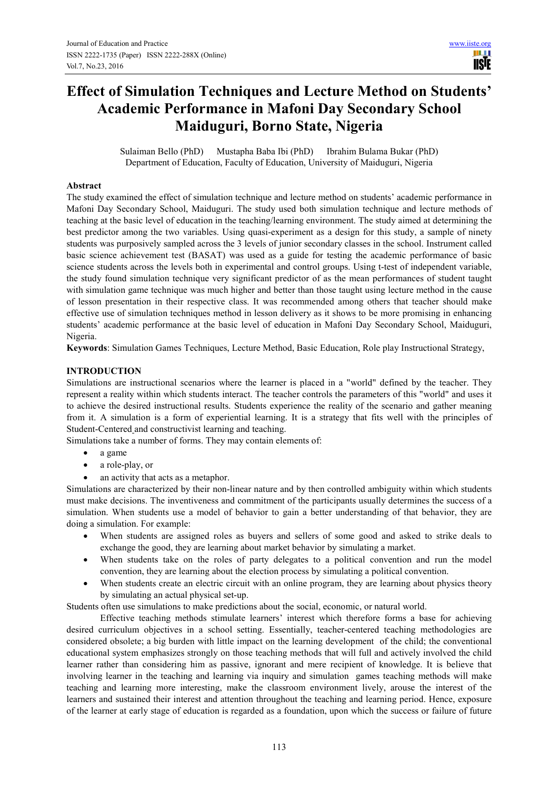# **Effect of Simulation Techniques and Lecture Method on Students' Academic Performance in Mafoni Day Secondary School Maiduguri, Borno State, Nigeria**

Sulaiman Bello (PhD) Mustapha Baba Ibi (PhD) Ibrahim Bulama Bukar (PhD) Department of Education, Faculty of Education, University of Maiduguri, Nigeria

# **Abstract**

The study examined the effect of simulation technique and lecture method on students' academic performance in Mafoni Day Secondary School, Maiduguri. The study used both simulation technique and lecture methods of teaching at the basic level of education in the teaching/learning environment. The study aimed at determining the best predictor among the two variables. Using quasi-experiment as a design for this study, a sample of ninety students was purposively sampled across the 3 levels of junior secondary classes in the school. Instrument called basic science achievement test (BASAT) was used as a guide for testing the academic performance of basic science students across the levels both in experimental and control groups. Using t-test of independent variable, the study found simulation technique very significant predictor of as the mean performances of student taught with simulation game technique was much higher and better than those taught using lecture method in the cause of lesson presentation in their respective class. It was recommended among others that teacher should make effective use of simulation techniques method in lesson delivery as it shows to be more promising in enhancing students' academic performance at the basic level of education in Mafoni Day Secondary School, Maiduguri, Nigeria.

**Keywords**: Simulation Games Techniques, Lecture Method, Basic Education, Role play Instructional Strategy,

# **INTRODUCTION**

Simulations are instructional scenarios where the learner is placed in a "world" defined by the teacher. They represent a reality within which students interact. The teacher controls the parameters of this "world" and uses it to achieve the desired instructional results. Students experience the reality of the scenario and gather meaning from it. A simulation is a form of experiential learning. It is a strategy that fits well with the principles of Student-Centered and constructivist learning and teaching.

Simulations take a number of forms. They may contain elements of:

- a game
- a role-play, or
- an activity that acts as a metaphor.

Simulations are characterized by their non-linear nature and by then controlled ambiguity within which students must make decisions. The inventiveness and commitment of the participants usually determines the success of a simulation. When students use a model of behavior to gain a better understanding of that behavior, they are doing a simulation. For example:

- When students are assigned roles as buyers and sellers of some good and asked to strike deals to exchange the good, they are learning about market behavior by simulating a market.
- When students take on the roles of party delegates to a political convention and run the model convention, they are learning about the election process by simulating a political convention.
- When students create an electric circuit with an online program, they are learning about physics theory by simulating an actual physical set-up.

Students often use simulations to make predictions about the social, economic, or natural world.

Effective teaching methods stimulate learners' interest which therefore forms a base for achieving desired curriculum objectives in a school setting. Essentially, teacher-centered teaching methodologies are considered obsolete; a big burden with little impact on the learning development of the child; the conventional educational system emphasizes strongly on those teaching methods that will full and actively involved the child learner rather than considering him as passive, ignorant and mere recipient of knowledge. It is believe that involving learner in the teaching and learning via inquiry and simulation games teaching methods will make teaching and learning more interesting, make the classroom environment lively, arouse the interest of the learners and sustained their interest and attention throughout the teaching and learning period. Hence, exposure of the learner at early stage of education is regarded as a foundation, upon which the success or failure of future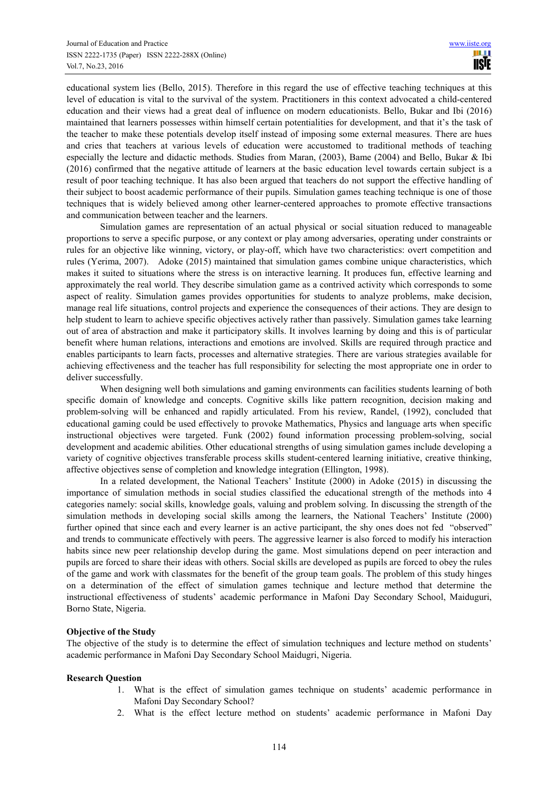educational system lies (Bello, 2015). Therefore in this regard the use of effective teaching techniques at this level of education is vital to the survival of the system. Practitioners in this context advocated a child-centered education and their views had a great deal of influence on modern educationists. Bello, Bukar and Ibi (2016) maintained that learners possesses within himself certain potentialities for development, and that it's the task of the teacher to make these potentials develop itself instead of imposing some external measures. There are hues and cries that teachers at various levels of education were accustomed to traditional methods of teaching especially the lecture and didactic methods. Studies from Maran, (2003), Bame (2004) and Bello, Bukar & Ibi (2016) confirmed that the negative attitude of learners at the basic education level towards certain subject is a result of poor teaching technique. It has also been argued that teachers do not support the effective handling of their subject to boost academic performance of their pupils. Simulation games teaching technique is one of those techniques that is widely believed among other learner-centered approaches to promote effective transactions and communication between teacher and the learners.

Simulation games are representation of an actual physical or social situation reduced to manageable proportions to serve a specific purpose, or any context or play among adversaries, operating under constraints or rules for an objective like winning, victory, or play-off, which have two characteristics: overt competition and rules (Yerima, 2007). Adoke (2015) maintained that simulation games combine unique characteristics, which makes it suited to situations where the stress is on interactive learning. It produces fun, effective learning and approximately the real world. They describe simulation game as a contrived activity which corresponds to some aspect of reality. Simulation games provides opportunities for students to analyze problems, make decision, manage real life situations, control projects and experience the consequences of their actions. They are design to help student to learn to achieve specific objectives actively rather than passively. Simulation games take learning out of area of abstraction and make it participatory skills. It involves learning by doing and this is of particular benefit where human relations, interactions and emotions are involved. Skills are required through practice and enables participants to learn facts, processes and alternative strategies. There are various strategies available for achieving effectiveness and the teacher has full responsibility for selecting the most appropriate one in order to deliver successfully.

When designing well both simulations and gaming environments can facilities students learning of both specific domain of knowledge and concepts. Cognitive skills like pattern recognition, decision making and problem-solving will be enhanced and rapidly articulated. From his review, Randel, (1992), concluded that educational gaming could be used effectively to provoke Mathematics, Physics and language arts when specific instructional objectives were targeted. Funk (2002) found information processing problem-solving, social development and academic abilities. Other educational strengths of using simulation games include developing a variety of cognitive objectives transferable process skills student-centered learning initiative, creative thinking, affective objectives sense of completion and knowledge integration (Ellington, 1998).

In a related development, the National Teachers' Institute (2000) in Adoke (2015) in discussing the importance of simulation methods in social studies classified the educational strength of the methods into 4 categories namely: social skills, knowledge goals, valuing and problem solving. In discussing the strength of the simulation methods in developing social skills among the learners, the National Teachers' Institute (2000) further opined that since each and every learner is an active participant, the shy ones does not fed "observed" and trends to communicate effectively with peers. The aggressive learner is also forced to modify his interaction habits since new peer relationship develop during the game. Most simulations depend on peer interaction and pupils are forced to share their ideas with others. Social skills are developed as pupils are forced to obey the rules of the game and work with classmates for the benefit of the group team goals. The problem of this study hinges on a determination of the effect of simulation games technique and lecture method that determine the instructional effectiveness of students' academic performance in Mafoni Day Secondary School, Maiduguri, Borno State, Nigeria.

## **Objective of the Study**

The objective of the study is to determine the effect of simulation techniques and lecture method on students' academic performance in Mafoni Day Secondary School Maidugri, Nigeria.

#### **Research Question**

- 1. What is the effect of simulation games technique on students' academic performance in Mafoni Day Secondary School?
- 2. What is the effect lecture method on students' academic performance in Mafoni Day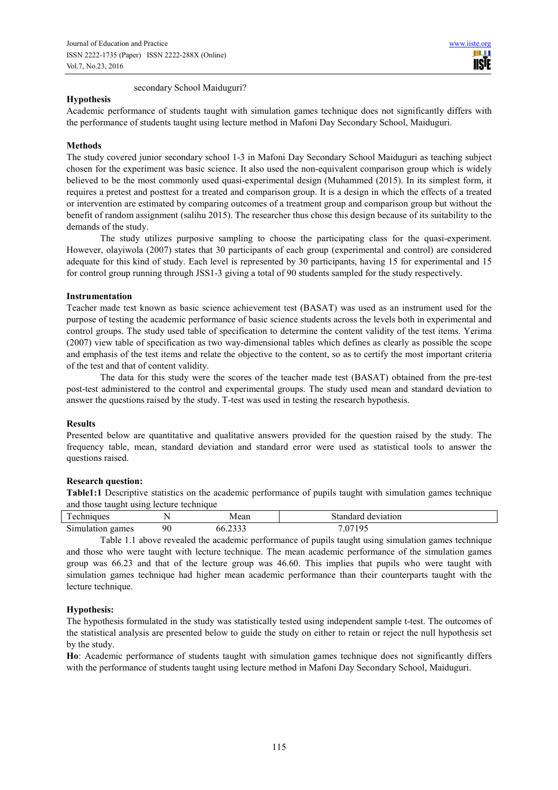secondary School Maiduguri?

# **Hypothesis**

Academic performance of students taught with simulation games technique does not significantly differs with the performance of students taught using lecture method in Mafoni Day Secondary School, Maiduguri.

# **Methods**

The study covered junior secondary school 1-3 in Mafoni Day Secondary School Maiduguri as teaching subject chosen for the experiment was basic science. It also used the non-equivalent comparison group which is widely believed to be the most commonly used quasi-experimental design (Muhammed (2015). In its simplest form, it requires a pretest and posttest for a treated and comparison group. It is a design in which the effects of a treated or intervention are estimated by comparing outcomes of a treatment group and comparison group but without the benefit of random assignment (salihu 2015). The researcher thus chose this design because of its suitability to the demands of the study.

The study utilizes purposive sampling to choose the participating class for the quasi-experiment. However, olayiwola (2007) states that 30 participants of each group (experimental and control) are considered adequate for this kind of study. Each level is represented by 30 participants, having 15 for experimental and 15 for control group running through JSS1-3 giving a total of 90 students sampled for the study respectively.

### **Instrumentation**

Teacher made test known as basic science achievement test (BASAT) was used as an instrument used for the purpose of testing the academic performance of basic science students across the levels both in experimental and control groups. The study used table of specification to determine the content validity of the test items. Yerima (2007) view table of specification as two way-dimensional tables which defines as clearly as possible the scope and emphasis of the test items and relate the objective to the content, so as to certify the most important criteria of the test and that of content validity.

The data for this study were the scores of the teacher made test (BASAT) obtained from the pre-test post-test administered to the control and experimental groups. The study used mean and standard deviation to answer the questions raised by the study. T-test was used in testing the research hypothesis.

### **Results**

Presented below are quantitative and qualitative answers provided for the question raised by the study. The frequency table, mean, standard deviation and standard error were used as statistical tools to answer the questions raised.

### **Research question:**

**Table1:1** Descriptive statistics on the academic performance of pupils taught with simulation games technique and those taught using lecture technique

| $\mathbf{r}$<br><i>l</i> echniques |    | Mean                 | Standard deviation |  |  |
|------------------------------------|----|----------------------|--------------------|--|--|
| Simulation games                   | 90 | $\bigcap$<br>66.2333 | 0710 <sup>2</sup>  |  |  |

Table 1.1 above revealed the academic performance of pupils taught using simulation games technique and those who were taught with lecture technique. The mean academic performance of the simulation games group was 66.23 and that of the lecture group was 46.60. This implies that pupils who were taught with simulation games technique had higher mean academic performance than their counterparts taught with the lecture technique.

### **Hypothesis:**

The hypothesis formulated in the study was statistically tested using independent sample t-test. The outcomes of the statistical analysis are presented below to guide the study on either to retain or reject the null hypothesis set by the study.

**Ho**: Academic performance of students taught with simulation games technique does not significantly differs with the performance of students taught using lecture method in Mafoni Day Secondary School, Maiduguri.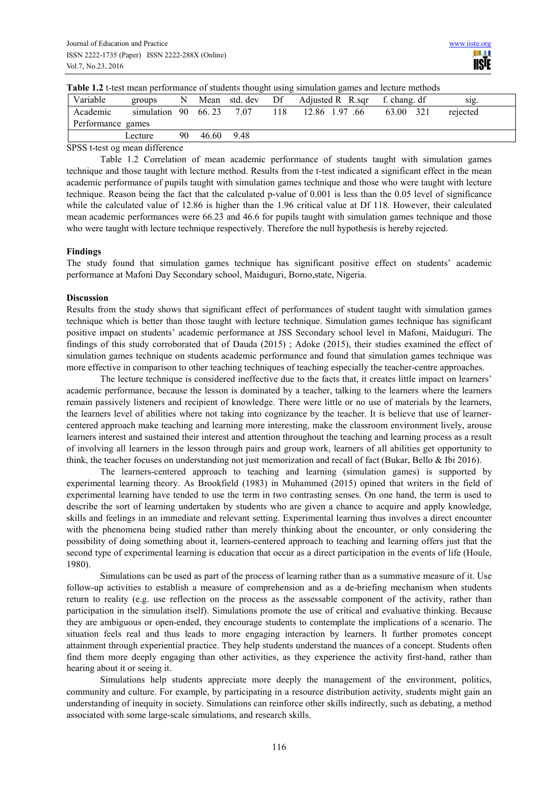| Variable          | groups                     | N  | Mean  | std. dev | Df  | Adjusted R R.sqr | f. chang. df | SIg.     |
|-------------------|----------------------------|----|-------|----------|-----|------------------|--------------|----------|
| Academic          | simulation $90\quad 66.23$ |    |       | 7.07     | 118 | 12.86 1.97 .66   | 321<br>63.00 | rejected |
| Performance games |                            |    |       |          |     |                  |              |          |
|                   | Lecture                    | 90 | 46.60 | 9.48     |     |                  |              |          |

**Table 1.2** t-test mean performance of students thought using simulation games and lecture methods

SPSS t-test og mean difference

Table 1.2 Correlation of mean academic performance of students taught with simulation games technique and those taught with lecture method. Results from the t-test indicated a significant effect in the mean academic performance of pupils taught with simulation games technique and those who were taught with lecture technique. Reason being the fact that the calculated p-value of 0.001 is less than the 0.05 level of significance while the calculated value of 12.86 is higher than the 1.96 critical value at Df 118. However, their calculated mean academic performances were 66.23 and 46.6 for pupils taught with simulation games technique and those who were taught with lecture technique respectively. Therefore the null hypothesis is hereby rejected.

### **Findings**

The study found that simulation games technique has significant positive effect on students' academic performance at Mafoni Day Secondary school, Maiduguri, Borno,state, Nigeria.

# **Discussion**

Results from the study shows that significant effect of performances of student taught with simulation games technique which is better than those taught with lecture technique. Simulation games technique has significant positive impact on students' academic performance at JSS Secondary school level in Mafoni, Maiduguri. The findings of this study corroborated that of Dauda (2015) ; Adoke (2015), their studies examined the effect of simulation games technique on students academic performance and found that simulation games technique was more effective in comparison to other teaching techniques of teaching especially the teacher-centre approaches.

The lecture technique is considered ineffective due to the facts that, it creates little impact on learners' academic performance, because the lesson is dominated by a teacher, talking to the learners where the learners remain passively listeners and recipient of knowledge. There were little or no use of materials by the learners, the learners level of abilities where not taking into cognizance by the teacher. It is believe that use of learnercentered approach make teaching and learning more interesting, make the classroom environment lively, arouse learners interest and sustained their interest and attention throughout the teaching and learning process as a result of involving all learners in the lesson through pairs and group work, learners of all abilities get opportunity to think, the teacher focuses on understanding not just memorization and recall of fact (Bukar, Bello & Ibi 2016).

The learners-centered approach to teaching and learning (simulation games) is supported by experimental learning theory. As Brookfield (1983) in Muhammed (2015) opined that writers in the field of experimental learning have tended to use the term in two contrasting senses. On one hand, the term is used to describe the sort of learning undertaken by students who are given a chance to acquire and apply knowledge, skills and feelings in an immediate and relevant setting. Experimental learning thus involves a direct encounter with the phenomena being studied rather than merely thinking about the encounter, or only considering the possibility of doing something about it, learners-centered approach to teaching and learning offers just that the second type of experimental learning is education that occur as a direct participation in the events of life (Houle, 1980).

Simulations can be used as part of the process of learning rather than as a summative measure of it. Use follow-up activities to establish a measure of comprehension and as a de-briefing mechanism when students return to reality (e.g. use reflection on the process as the assessable component of the activity, rather than participation in the simulation itself). Simulations promote the use of critical and evaluative thinking. Because they are ambiguous or open-ended, they encourage students to contemplate the implications of a scenario. The situation feels real and thus leads to more engaging interaction by learners. It further promotes concept attainment through experiential practice. They help students understand the nuances of a concept. Students often find them more deeply engaging than other activities, as they experience the activity first-hand, rather than hearing about it or seeing it.

Simulations help students appreciate more deeply the management of the environment, politics, community and culture. For example, by participating in a resource distribution activity, students might gain an understanding of inequity in society. Simulations can reinforce other skills indirectly, such as debating, a method associated with some large-scale simulations, and research skills.